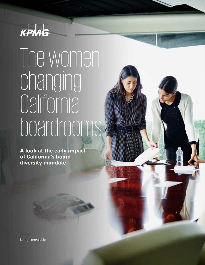

## The women changing **California** boardrooms

**A look at the early impact of California's board diversity mandate**

[kpmg.com/us/blc](https://boardleadership.kpmg.us?utm_source=tlpdfwomenoncaboards&utm_medium=referral&mid=m-00005396&utm_campaign=c-00084018&cid=c-00084018)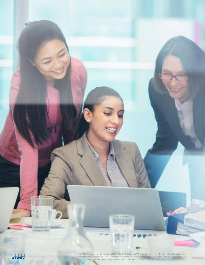

© 2020 KPMG LLP, a Delaware limited liability partnership and the U.S. member firm of the KPMG network of independent<br>member firms affiliated with KPMG International Cooperative ("KPMG International"), a Swiss entity. The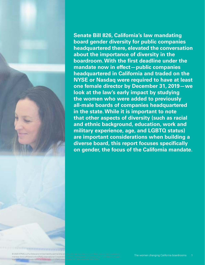

member firms affiliated with KPMG International Cooperative gistered trademarks or trademarks of KPMG International.

**Senate Bill 826, California's law mandating board gender diversity for public companies headquartered there, elevated the conversation about the importance of diversity in the boardroom. With the first deadline under the mandate now in effect—public companies headquartered in California and traded on the NYSE or Nasdaq were required to have at least one female director by December 31, 2019—we look at the law's early impact by studying the women who were added to previously all-male boards of companies headquartered in the state. While it is important to note that other aspects of diversity (such as racial and ethnic background, education, work and military experience, age, and LGBTQ status) are important considerations when building a diverse board, this report focuses specifically on gender, the focus of the California mandate.**

© 2020 KPMG LLP, a Delaware limited liability partnership and the U.S. member firm of the KPMG network of independent The women changing California boardrooms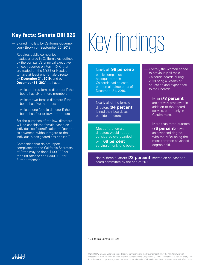### **Key facts: Senate Bill 826**

- Signed into law by California Governor Jerry Brown on September 30, 2018
- Requires public companies headquartered in California (as defined by the company's principal executive offices reported on Form 10-K) that are traded on the NYSE or Nasdaq to have at least one female director by **December 31, 2019,** and by **December 31, 2021,** to have:
	- At least three female directors if the board has six or more members
	- At least two female directors if the board has five members
	- At least one female director if the board has four or fewer members
- For the purposes of the law, directors will be considered female based on individual self-identification of "gender as a woman, without regard to the individual's designated sex at birth"1
- Companies that do not report compliance to the California Secretary of State may be fined \$100,000 for the first offense and \$300,000 for further offenses

# Key findings

### — Nearly all (**96 percent**)

public companies headquartered in California had at least one female director as of December 31, 2019.

- Nearly all of the female directors (**94 percent**) joined their boards as outside directors.
- Most of the female directors would not be considered overboarded,
	- with **69 percent** serving on only one board.
- Overall, the women added to previously all-male California boards during 2019 bring a wealth of education and experience to their boards.
	- Most (**73 percent**) are actively employed in addition to their board service, commonly in C-suite roles.
	- More than three-quarters (**76 percent**) have an advanced degree, with the MBA being the most common advanced degree held.

— Nearly three-quarters (**73 percent**) served on at least one board committee by the end of 2019.

1 California Senate Bill 826

© 2020 KPMG LLP, a Delaware limited liability partnership and the U.S. member firm of the KPMG network of independent member firms affiliated with KPMG International Cooperative ("KPMG International"), a Swiss entity. The KPMG name and logo are registered trademarks or trademarks of KPMG International. All rights reserved. NDP057611

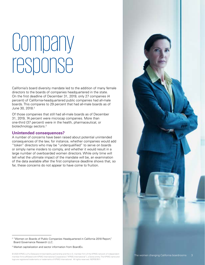### **Company** response

California's board diversity mandate led to the addition of many female directors to the boards of companies headquartered in the state. On the first deadline of December 31, 2019, only 27 companies (4 percent) of California-headquartered public companies had all-male boards. This compares to 29 percent that had all-male boards as of June 30, 2018.<sup>2</sup>

Of those companies that still had all-male boards as of December 31, 2019, 74 percent were microcap companies. More than one-third (37 percent) were in the health, pharmaceutical, or biotechnology sectors.3

### **Unintended consequences?**

A number of concerns have been raised about potential unintended consequences of the law, for instance, whether companies would add "token" directors who may be "underqualified" to serve on boards or simply name insiders to comply, and whether it would result in a large number of overboarded women directors. While only time will tell what the ultimate impact of the mandate will be, an examination of the data available after the first compliance deadline shows that, so far, these concerns do not appear to have come to fruition.



<sup>&</sup>lt;sup>2</sup> "Women on Boards of Public Companies Headquartered in California 2018 Report," Board Governance Research LLC.

© 2020 KPMG LLP, a Delaware limited liability partnership and the U.S. member firm of the KPMG network of independent The Women changing California boardrooms 3 member firms affiliated with KPMG International Cooperative ("KPMG International"), a Swiss entity. The KPMG name and logo are registered trademarks or trademarks of KPMG International. All rights reserved. NDP057611

<sup>3</sup> Market capitalization and sector information from BoardEx.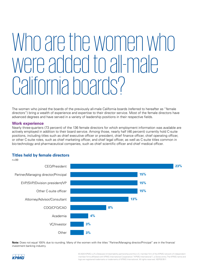### Who are the women who were added to all-male California boards?

The women who joined the boards of the previously all-male California boards (referred to hereafter as "female directors") bring a wealth of experience and expertise to their director service. Most of the female directors have advanced degrees and have served in a variety of leadership positions in their respective fields.

### **Work experience**

Nearly three-quarters (73 percent) of the 136 female directors for which employment information was available are actively employed in addition to their board service. Among those, nearly half (46 percent) currently hold C-suite positions, including titles such as chief executive officer or president, chief finance officer, chief operating officer, or other C-suite roles, such as chief marketing officer, and chief legal officer, as well as C-suite titles common in bio-technology and pharmaceutical companies, such as chief scientific officer and chief medical officer.

### **Titles held by female directors**



**Note:** Does not equal 100% due to rounding. Many of the women with the titles "Partner/Managing director/Principal" are in the finance/ investment banking industry.

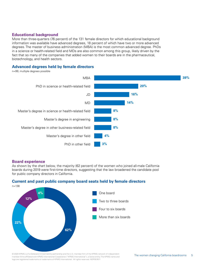### **Educational background**

More than three-quarters (76 percent) of the 131 female directors for which educational background information was available have advanced degrees, 18 percent of which have two or more advanced degrees. The master of business administration (MBA) is the most common advanced degree. PhDs in a science or health-related field and MDs are also common among this group, likely driven by the fact that so many of the companies that added women to their boards are in the pharmaceutical, biotechnology, and health sectors.

### **Advanced degrees held by female directors**

n=99; multiple degrees possible



### **Board experience**

As shown by the chart below, the majority (62 percent) of the women who joined all-male California boards during 2019 were first-time directors, suggesting that the law broadened the candidate pool for public company directors in California.



### **Current and past public company board seats held by female directors**

© 2020 KPMG LLP, a Delaware limited liability partnership and the U.S. member firm of the KPMG network of independent<br>
The women changing California boardrooms 5 member firms affiliated with KPMG International Cooperative ("KPMG International"), a Swiss entity. The KPMG name and logo are registered trademarks or trademarks of KPMG International. All rights reserved. NDP057611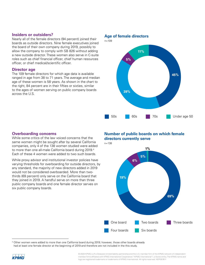### **Insiders or outsiders?**

Nearly all of the female directors (94 percent) joined their boards as outside directors. Nine female executives joined the board of their own company during 2019, possibly to allow the company to comply with SB 826 without adding a new outside director. These women also serve in C-suite roles such as chief financial officer, chief human resources officer, or chief medical/scientific officer.

### **Director age**

The 109 female directors for which age data is available ranged in age from 38 to 71 years. The average and median age of these women is 58 years. As shown in the chart to the right, 84 percent are in their fifties or sixties, similar to the ages of women serving on public company boards across the U.S.

### **Age of female directors**



### **Overboarding concerns**

While some critics of the law voiced concerns that the same women might be sought after by several California companies, only 4 of the 138 women studied were added to more than one all-male California board during 2019.<sup>4</sup> Each of these 4 women were added to two such boards.

While proxy advisor and institutional investor policies have varying thresholds for overboarding for outside directors, by any standard, the majority of new directors added in 2019 would not be considered overboarded. More than twothirds (69 percent) only serve on the California board that they joined in 2019. A handful serve on more than three public company boards and one female director serves on six public company boards.

**Number of public boards on which female directors currently serve**





<sup>4</sup> Other women were added to more than one California board during 2019; however, those other boards already had at least one female director at the beginning of 2019 and therefore are not included in the this study.

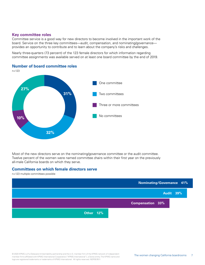### **Key committee roles**

Committee service is a good way for new directors to become involved in the important work of the board. Service on the three key committees—audit, compensation, and nominating/governance provides an opportunity to contribute and to learn about the company's risks and challenges.

Nearly three-quarters (73 percent) of the 123 female directors for which information regarding committee assignments was available served on at least one board committee by the end of 2019.

### **Number of board committee roles**



Most of the new directors serve on the nominating/governance committee or the audit committee. Twelve percent of the women were named committee chairs within their first year on the previously all-male California boards on which they serve.

### **Committees on which female directors serve**

n=123 multiple committees possible

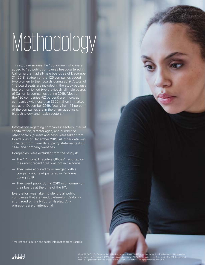# Methodology

This study examines the 138 women who were added to 126 public companies headquartered in California that had all-male boards as of December 31, 2018. Sixteen of the 126 companies added two women to their boards during 2019. A total of 142 board seats are included in the study because four women joined two previously all-male boards of California companies during 2019. Most of the 126 companies (52 percent) are microcap companies with less than \$300 million in market cap as of December 2019. Nearly half (44 percent) of the companies are in the pharmaceuticals, biotechnology, and health sectors.<sup>5</sup>

Information regarding companies' sectors, market capitalization, director ages, and number of other boards (current and past) were taken from BoardEx as of December 2019. All other data was collected from Form 8-Ks, proxy statements (DEF 14A), and company websites.

Companies were excluded from the study if:

- The "Principal Executive Offices" reported on their most recent 10-K was not in California
- They were acquired by or merged with a company not headquartered in California during 2019
- They went public during 2019 with women on their boards at the time of the IPO

Every effort was taken to identify all public companies that are headquartered in California and traded on the NYSE or Nasdaq. Any omissions are unintentional.

<sup>&</sup>lt;sup>5</sup> Market capitalization and sector information from BoardEx.



© 2020 KPMG LLP, a Delaware limited liability partnership and the U.S. member firm of the KPMG network of independent<br>member firms affiliated with KPMG International Cooperative ("KPMG International"), a Swiss entity. The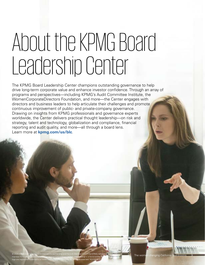## About the KPMG Board Leadership Center

The KPMG Board Leadership Center champions outstanding governance to help drive long-term corporate value and enhance investor confidence. Through an array of programs and perspectives—including KPMG's Audit Committee Institute, the WomenCorporateDirectors Foundation, and more—the Center engages with directors and business leaders to help articulate their challenges and promote continuous improvement of public- and private-company governance. Drawing on insights from KPMG professionals and governance experts worldwide, the Center delivers practical thought leadership—on risk and strategy, talent and technology, globalization and compliance, financial reporting and audit quality, and more—all through a board lens. Learn more at **[kpmg.com/us/blc](https://boardleadership.kpmg.us?utm_source=tlpdfwomenoncaboards&utm_medium=referral&mid=m-00005396&utm_campaign=c-00084018&cid=c-00084018)**.

logo are registered trademarks or trademarks of KPMG International. All rights reserved. NDP057611